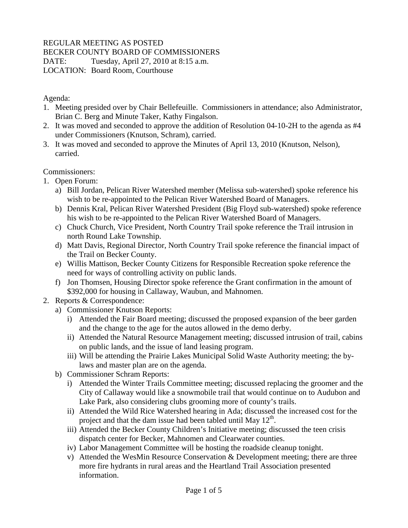## REGULAR MEETING AS POSTED

## BECKER COUNTY BOARD OF COMMISSIONERS

DATE: Tuesday, April 27, 2010 at 8:15 a.m.

LOCATION: Board Room, Courthouse

Agenda:

- 1. Meeting presided over by Chair Bellefeuille. Commissioners in attendance; also Administrator, Brian C. Berg and Minute Taker, Kathy Fingalson.
- 2. It was moved and seconded to approve the addition of Resolution 04-10-2H to the agenda as #4 under Commissioners (Knutson, Schram), carried.
- 3. It was moved and seconded to approve the Minutes of April 13, 2010 (Knutson, Nelson), carried.

Commissioners:

- 1. Open Forum:
	- a) Bill Jordan, Pelican River Watershed member (Melissa sub-watershed) spoke reference his wish to be re-appointed to the Pelican River Watershed Board of Managers.
	- b) Dennis Kral, Pelican River Watershed President (Big Floyd sub-watershed) spoke reference his wish to be re-appointed to the Pelican River Watershed Board of Managers.
	- c) Chuck Church, Vice President, North Country Trail spoke reference the Trail intrusion in north Round Lake Township.
	- d) Matt Davis, Regional Director, North Country Trail spoke reference the financial impact of the Trail on Becker County.
	- e) Willis Mattison, Becker County Citizens for Responsible Recreation spoke reference the need for ways of controlling activity on public lands.
	- f) Jon Thomsen, Housing Director spoke reference the Grant confirmation in the amount of \$392,000 for housing in Callaway, Waubun, and Mahnomen.
- 2. Reports & Correspondence:
	- a) Commissioner Knutson Reports:
		- i) Attended the Fair Board meeting; discussed the proposed expansion of the beer garden and the change to the age for the autos allowed in the demo derby.
		- ii) Attended the Natural Resource Management meeting; discussed intrusion of trail, cabins on public lands, and the issue of land leasing program.
		- iii) Will be attending the Prairie Lakes Municipal Solid Waste Authority meeting; the bylaws and master plan are on the agenda.
	- b) Commissioner Schram Reports:
		- i) Attended the Winter Trails Committee meeting; discussed replacing the groomer and the City of Callaway would like a snowmobile trail that would continue on to Audubon and Lake Park, also considering clubs grooming more of county's trails.
		- ii) Attended the Wild Rice Watershed hearing in Ada; discussed the increased cost for the project and that the dam issue had been tabled until May  $12<sup>th</sup>$ .
		- iii) Attended the Becker County Children's Initiative meeting; discussed the teen crisis dispatch center for Becker, Mahnomen and Clearwater counties.
		- iv) Labor Management Committee will be hosting the roadside cleanup tonight.
		- v) Attended the WesMin Resource Conservation & Development meeting; there are three more fire hydrants in rural areas and the Heartland Trail Association presented information.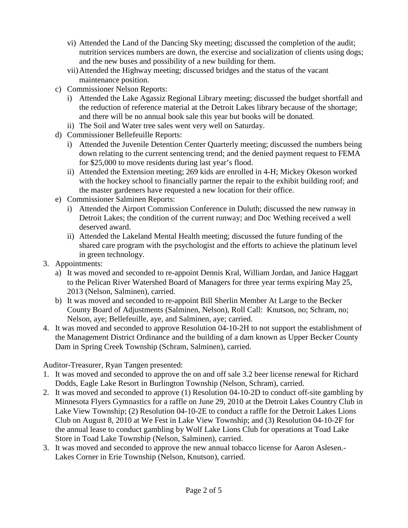- vi) Attended the Land of the Dancing Sky meeting; discussed the completion of the audit; nutrition services numbers are down, the exercise and socialization of clients using dogs; and the new buses and possibility of a new building for them.
- vii)Attended the Highway meeting; discussed bridges and the status of the vacant maintenance position.
- c) Commissioner Nelson Reports:
	- i) Attended the Lake Agassiz Regional Library meeting; discussed the budget shortfall and the reduction of reference material at the Detroit Lakes library because of the shortage; and there will be no annual book sale this year but books will be donated.
	- ii) The Soil and Water tree sales went very well on Saturday.
- d) Commissioner Bellefeuille Reports:
	- i) Attended the Juvenile Detention Center Quarterly meeting; discussed the numbers being down relating to the current sentencing trend; and the denied payment request to FEMA for \$25,000 to move residents during last year's flood.
	- ii) Attended the Extension meeting; 269 kids are enrolled in 4-H; Mickey Okeson worked with the hockey school to financially partner the repair to the exhibit building roof; and the master gardeners have requested a new location for their office.
- e) Commissioner Salminen Reports:
	- i) Attended the Airport Commission Conference in Duluth; discussed the new runway in Detroit Lakes; the condition of the current runway; and Doc Wething received a well deserved award.
	- ii) Attended the Lakeland Mental Health meeting; discussed the future funding of the shared care program with the psychologist and the efforts to achieve the platinum level in green technology.
- 3. Appointments:
	- a) It was moved and seconded to re-appoint Dennis Kral, William Jordan, and Janice Haggart to the Pelican River Watershed Board of Managers for three year terms expiring May 25, 2013 (Nelson, Salminen), carried.
	- b) It was moved and seconded to re-appoint Bill Sherlin Member At Large to the Becker County Board of Adjustments (Salminen, Nelson), Roll Call: Knutson, no; Schram, no; Nelson, aye; Bellefeuille, aye, and Salminen, aye; carried.
- 4. It was moved and seconded to approve Resolution 04-10-2H to not support the establishment of the Management District Ordinance and the building of a dam known as Upper Becker County Dam in Spring Creek Township (Schram, Salminen), carried.

Auditor-Treasurer, Ryan Tangen presented:

- 1. It was moved and seconded to approve the on and off sale 3.2 beer license renewal for Richard Dodds, Eagle Lake Resort in Burlington Township (Nelson, Schram), carried.
- 2. It was moved and seconded to approve (1) Resolution 04-10-2D to conduct off-site gambling by Minnesota Flyers Gymnastics for a raffle on June 29, 2010 at the Detroit Lakes Country Club in Lake View Township; (2) Resolution 04-10-2E to conduct a raffle for the Detroit Lakes Lions Club on August 8, 2010 at We Fest in Lake View Township; and (3) Resolution 04-10-2F for the annual lease to conduct gambling by Wolf Lake Lions Club for operations at Toad Lake Store in Toad Lake Township (Nelson, Salminen), carried.
- 3. It was moved and seconded to approve the new annual tobacco license for Aaron Aslesen.- Lakes Corner in Erie Township (Nelson, Knutson), carried.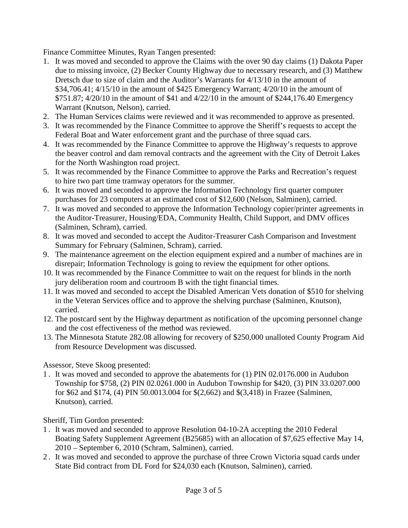Finance Committee Minutes, Ryan Tangen presented:

- 1. It was moved and seconded to approve the Claims with the over 90 day claims (1) Dakota Paper due to missing invoice, (2) Becker County Highway due to necessary research, and (3) Matthew Dretsch due to size of claim and the Auditor's Warrants for 4/13/10 in the amount of \$34,706.41; 4/15/10 in the amount of \$425 Emergency Warrant; 4/20/10 in the amount of \$751.87; 4/20/10 in the amount of \$41 and 4/22/10 in the amount of \$244,176.40 Emergency Warrant (Knutson, Nelson), carried.
- 2. The Human Services claims were reviewed and it was recommended to approve as presented.
- 3. It was recommended by the Finance Committee to approve the Sheriff's requests to accept the Federal Boat and Water enforcement grant and the purchase of three squad cars.
- 4. It was recommended by the Finance Committee to approve the Highway's requests to approve the beaver control and dam removal contracts and the agreement with the City of Detroit Lakes for the North Washington road project.
- 5. It was recommended by the Finance Committee to approve the Parks and Recreation's request to hire two part time tramway operators for the summer.
- 6. It was moved and seconded to approve the Information Technology first quarter computer purchases for 23 computers at an estimated cost of \$12,600 (Nelson, Salminen), carried.
- 7. It was moved and seconded to approve the Information Technology copier/printer agreements in the Auditor-Treasurer, Housing/EDA, Community Health, Child Support, and DMV offices (Salminen, Schram), carried.
- 8. It was moved and seconded to accept the Auditor-Treasurer Cash Comparison and Investment Summary for February (Salminen, Schram), carried.
- 9. The maintenance agreement on the election equipment expired and a number of machines are in disrepair; Information Technology is going to review the equipment for other options.
- 10. It was recommended by the Finance Committee to wait on the request for blinds in the north jury deliberation room and courtroom B with the tight financial times.
- 11. It was moved and seconded to accept the Disabled American Vets donation of \$510 for shelving in the Veteran Services office and to approve the shelving purchase (Salminen, Knutson), carried.
- 12. The postcard sent by the Highway department as notification of the upcoming personnel change and the cost effectiveness of the method was reviewed.
- 13. The Minnesota Statute 282.08 allowing for recovery of \$250,000 unalloted County Program Aid from Resource Development was discussed.

Assessor, Steve Skoog presented:

1 . It was moved and seconded to approve the abatements for (1) PIN 02.0176.000 in Audubon Township for \$758, (2) PIN 02.0261.000 in Audubon Township for \$420, (3) PIN 33.0207.000 for \$62 and \$174, (4) PIN 50.0013.004 for \$(2,662) and \$(3,418) in Frazee (Salminen, Knutson), carried.

Sheriff, Tim Gordon presented:

- 1 . It was moved and seconded to approve Resolution 04-10-2A accepting the 2010 Federal Boating Safety Supplement Agreement (B25685) with an allocation of \$7,625 effective May 14, 2010 – September 6, 2010 (Schram, Salminen), carried.
- 2 . It was moved and seconded to approve the purchase of three Crown Victoria squad cards under State Bid contract from DL Ford for \$24,030 each (Knutson, Salminen), carried.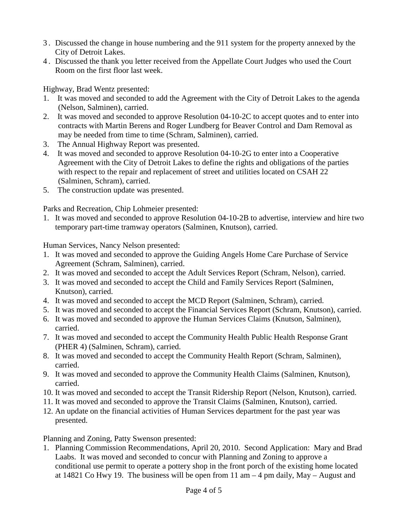- 3 . Discussed the change in house numbering and the 911 system for the property annexed by the City of Detroit Lakes.
- 4 . Discussed the thank you letter received from the Appellate Court Judges who used the Court Room on the first floor last week.

Highway, Brad Wentz presented:

- 1. It was moved and seconded to add the Agreement with the City of Detroit Lakes to the agenda (Nelson, Salminen), carried.
- 2. It was moved and seconded to approve Resolution 04-10-2C to accept quotes and to enter into contracts with Martin Berens and Roger Lundberg for Beaver Control and Dam Removal as may be needed from time to time (Schram, Salminen), carried.
- 3. The Annual Highway Report was presented.
- 4. It was moved and seconded to approve Resolution 04-10-2G to enter into a Cooperative Agreement with the City of Detroit Lakes to define the rights and obligations of the parties with respect to the repair and replacement of street and utilities located on CSAH 22 (Salminen, Schram), carried.
- 5. The construction update was presented.

Parks and Recreation, Chip Lohmeier presented:

1. It was moved and seconded to approve Resolution 04-10-2B to advertise, interview and hire two temporary part-time tramway operators (Salminen, Knutson), carried.

Human Services, Nancy Nelson presented:

- 1. It was moved and seconded to approve the Guiding Angels Home Care Purchase of Service Agreement (Schram, Salminen), carried.
- 2. It was moved and seconded to accept the Adult Services Report (Schram, Nelson), carried.
- 3. It was moved and seconded to accept the Child and Family Services Report (Salminen, Knutson), carried.
- 4. It was moved and seconded to accept the MCD Report (Salminen, Schram), carried.
- 5. It was moved and seconded to accept the Financial Services Report (Schram, Knutson), carried.
- 6. It was moved and seconded to approve the Human Services Claims (Knutson, Salminen), carried.
- 7. It was moved and seconded to accept the Community Health Public Health Response Grant (PHER 4) (Salminen, Schram), carried.
- 8. It was moved and seconded to accept the Community Health Report (Schram, Salminen), carried.
- 9. It was moved and seconded to approve the Community Health Claims (Salminen, Knutson), carried.
- 10. It was moved and seconded to accept the Transit Ridership Report (Nelson, Knutson), carried.
- 11. It was moved and seconded to approve the Transit Claims (Salminen, Knutson), carried.
- 12. An update on the financial activities of Human Services department for the past year was presented.

Planning and Zoning, Patty Swenson presented:

1. Planning Commission Recommendations, April 20, 2010. Second Application: Mary and Brad Laabs. It was moved and seconded to concur with Planning and Zoning to approve a conditional use permit to operate a pottery shop in the front porch of the existing home located at 14821 Co Hwy 19. The business will be open from 11 am – 4 pm daily, May – August and